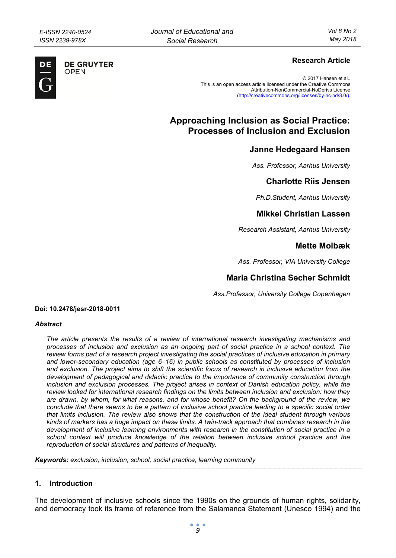**DE GRUYTER** OPFN

DE

## **Research Article**

© 2017 Hansen et.al.. This is an open access article licensed under the Creative Commons Attribution-NonCommercial-NoDerivs License (http://creativecommons.org/licenses/by-nc-nd/3.0/).

# **Approaching Inclusion as Social Practice: Processes of Inclusion and Exclusion**

## **Janne Hedegaard Hansen**

*Ass. Professor, Aarhus University* 

## **Charlotte Riis Jensen**

*Ph.D.Student, Aarhus University* 

## **Mikkel Christian Lassen**

*Research Assistant, Aarhus University* 

## **Mette Molbæk**

*Ass. Professor, VIA University College* 

## **Maria Christina Secher Schmidt**

*Ass.Professor, University College Copenhagen* 

#### **Doi: 10.2478/jesr-2018-0011**

#### *Abstract*

*The article presents the results of a review of international research investigating mechanisms and processes of inclusion and exclusion as an ongoing part of social practice in a school context. The review forms part of a research project investigating the social practices of inclusive education in primary and lower-secondary education (age 6–16) in public schools as constituted by processes of inclusion and exclusion. The project aims to shift the scientific focus of research in inclusive education from the development of pedagogical and didactic practice to the importance of community construction through*  inclusion and exclusion processes. The project arises in context of Danish education policy, while the *review looked for international research findings on the limits between inclusion and exclusion: how they are drawn, by whom, for what reasons, and for whose benefit? On the background of the review, we conclude that there seems to be a pattern of inclusive school practice leading to a specific social order that limits inclusion. The review also shows that the construction of the ideal student through various kinds of markers has a huge impact on these limits. A twin-track approach that combines research in the development of inclusive learning environments with research in the constitution of social practice in a school context will produce knowledge of the relation between inclusive school practice and the reproduction of social structures and patterns of inequality.* 

*Keywords: exclusion, inclusion, school, social practice, learning community* 

### **1. Introduction**

The development of inclusive schools since the 1990s on the grounds of human rights, solidarity, and democracy took its frame of reference from the Salamanca Statement (Unesco 1994) and the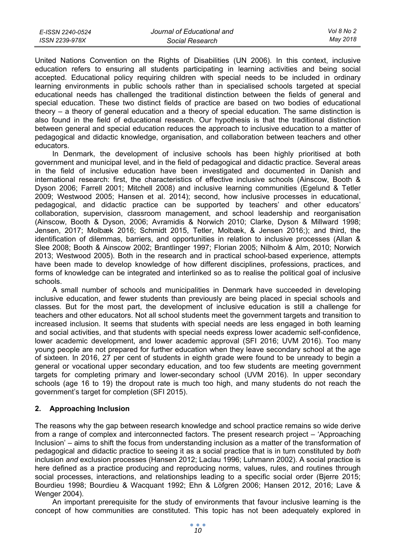| E-ISSN 2240-0524 | Journal of Educational and | Vol 8 No 2 |
|------------------|----------------------------|------------|
| ISSN 2239-978X   | Social Research            | May 2018   |

United Nations Convention on the Rights of Disabilities (UN 2006). In this context, inclusive education refers to ensuring all students participating in learning activities and being social accepted. Educational policy requiring children with special needs to be included in ordinary learning environments in public schools rather than in specialised schools targeted at special educational needs has challenged the traditional distinction between the fields of general and special education. These two distinct fields of practice are based on two bodies of educational theory – a theory of general education and a theory of special education. The same distinction is also found in the field of educational research. Our hypothesis is that the traditional distinction between general and special education reduces the approach to inclusive education to a matter of pedagogical and didactic knowledge, organisation, and collaboration between teachers and other educators.

In Denmark, the development of inclusive schools has been highly prioritised at both government and municipal level, and in the field of pedagogical and didactic practice. Several areas in the field of inclusive education have been investigated and documented in Danish and international research: first, the characteristics of effective inclusive schools (Ainscow, Booth & Dyson 2006; Farrell 2001; Mitchell 2008) and inclusive learning communities (Egelund & Tetler 2009; Westwood 2005; Hansen et al. 2014); second, how inclusive processes in educational, pedagogical, and didactic practice can be supported by teachers' and other educators' collaboration, supervision, classroom management, and school leadership and reorganisation (Ainscow, Booth & Dyson, 2006; Avramidis & Norwich 2010; Clarke, Dyson & Millward 1998; Jensen, 2017; Molbæk 2016; Schmidt 2015, Tetler, Molbæk, & Jensen 2016;); and third, the identification of dilemmas, barriers, and opportunities in relation to inclusive processes (Allan & Slee 2008; Booth & Ainscow 2002; Brantlinger 1997; Florian 2005; Nilholm & Alm, 2010; Norwich 2013; Westwood 2005). Both in the research and in practical school-based experience, attempts have been made to develop knowledge of how different disciplines, professions, practices, and forms of knowledge can be integrated and interlinked so as to realise the political goal of inclusive schools.

A small number of schools and municipalities in Denmark have succeeded in developing inclusive education, and fewer students than previously are being placed in special schools and classes. But for the most part, the development of inclusive education is still a challenge for teachers and other educators. Not all school students meet the government targets and transition to increased inclusion. It seems that students with special needs are less engaged in both learning and social activities, and that students with special needs express lower academic self-confidence, lower academic development, and lower academic approval (SFI 2016; UVM 2016). Too many young people are not prepared for further education when they leave secondary school at the age of sixteen. In 2016, 27 per cent of students in eighth grade were found to be unready to begin a general or vocational upper secondary education, and too few students are meeting government targets for completing primary and lower-secondary school (UVM 2016). In upper secondary schools (age 16 to 19) the dropout rate is much too high, and many students do not reach the government's target for completion (SFI 2015).

### **2. Approaching Inclusion**

The reasons why the gap between research knowledge and school practice remains so wide derive from a range of complex and interconnected factors. The present research project – 'Approaching Inclusion' – aims to shift the focus from understanding inclusion as a matter of the transformation of pedagogical and didactic practice to seeing it as a social practice that is in turn constituted by *both* inclusion *and* exclusion processes (Hansen 2012; Laclau 1996; Luhmann 2002). A social practice is here defined as a practice producing and reproducing norms, values, rules, and routines through social processes, interactions, and relationships leading to a specific social order (Bjerre 2015; Bourdieu 1998; Bourdieu & Wacquant 1992; Ehn & Löfgren 2006; Hansen 2012, 2016; Lave & Wenger 2004).

An important prerequisite for the study of environments that favour inclusive learning is the concept of how communities are constituted. This topic has not been adequately explored in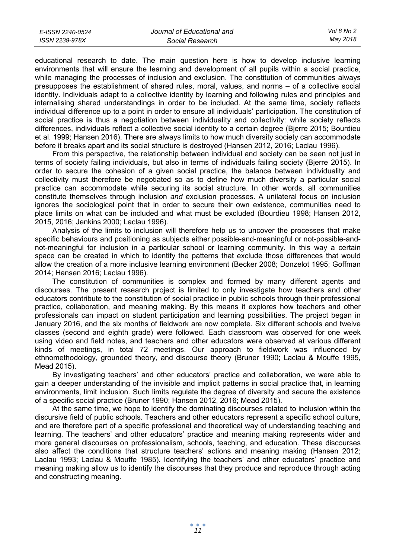| E-ISSN 2240-0524 | Journal of Educational and | Vol 8 No 2 |
|------------------|----------------------------|------------|
| ISSN 2239-978X   | Social Research            | May 2018   |

educational research to date. The main question here is how to develop inclusive learning environments that will ensure the learning and development of all pupils within a social practice, while managing the processes of inclusion and exclusion. The constitution of communities always presupposes the establishment of shared rules, moral, values, and norms – of a collective social identity. Individuals adapt to a collective identity by learning and following rules and principles and internalising shared understandings in order to be included. At the same time, society reflects individual difference up to a point in order to ensure all individuals' participation. The constitution of social practice is thus a negotiation between individuality and collectivity: while society reflects differences, individuals reflect a collective social identity to a certain degree (Bjerre 2015; Bourdieu et al. 1999; Hansen 2016). There are always limits to how much diversity society can accommodate before it breaks apart and its social structure is destroyed (Hansen 2012, 2016; Laclau 1996).

From this perspective, the relationship between individual and society can be seen not just in terms of society failing individuals, but also in terms of individuals failing society (Bjerre 2015). In order to secure the cohesion of a given social practice, the balance between individuality and collectivity must therefore be negotiated so as to define how much diversity a particular social practice can accommodate while securing its social structure. In other words, all communities constitute themselves through inclusion *and* exclusion processes. A unilateral focus on inclusion ignores the sociological point that in order to secure their own existence, communities need to place limits on what can be included and what must be excluded (Bourdieu 1998; Hansen 2012, 2015, 2016; Jenkins 2000; Laclau 1996).

Analysis of the limits to inclusion will therefore help us to uncover the processes that make specific behaviours and positioning as subjects either possible-and-meaningful or not-possible-andnot-meaningful for inclusion in a particular school or learning community. In this way a certain space can be created in which to identify the patterns that exclude those differences that would allow the creation of a more inclusive learning environment (Becker 2008; Donzelot 1995; Goffman 2014; Hansen 2016; Laclau 1996).

The constitution of communities is complex and formed by many different agents and discourses. The present research project is limited to only investigate how teachers and other educators contribute to the constitution of social practice in public schools through their professional practice, collaboration, and meaning making. By this means it explores how teachers and other professionals can impact on student participation and learning possibilities. The project began in January 2016, and the six months of fieldwork are now complete. Six different schools and twelve classes (second and eighth grade) were followed. Each classroom was observed for one week using video and field notes, and teachers and other educators were observed at various different kinds of meetings, in total 72 meetings. Our approach to fieldwork was influenced by ethnomethodology, grounded theory, and discourse theory (Bruner 1990; Laclau & Mouffe 1995, Mead 2015).

By investigating teachers' and other educators' practice and collaboration, we were able to gain a deeper understanding of the invisible and implicit patterns in social practice that, in learning environments, limit inclusion. Such limits regulate the degree of diversity and secure the existence of a specific social practice (Bruner 1990; Hansen 2012, 2016; Mead 2015).

At the same time, we hope to identify the dominating discourses related to inclusion within the discursive field of public schools. Teachers and other educators represent a specific school culture, and are therefore part of a specific professional and theoretical way of understanding teaching and learning. The teachers' and other educators' practice and meaning making represents wider and more general discourses on professionalism, schools, teaching, and education. These discourses also affect the conditions that structure teachers' actions and meaning making (Hansen 2012; Laclau 1993; Laclau & Mouffe 1985). Identifying the teachers' and other educators' practice and meaning making allow us to identify the discourses that they produce and reproduce through acting and constructing meaning.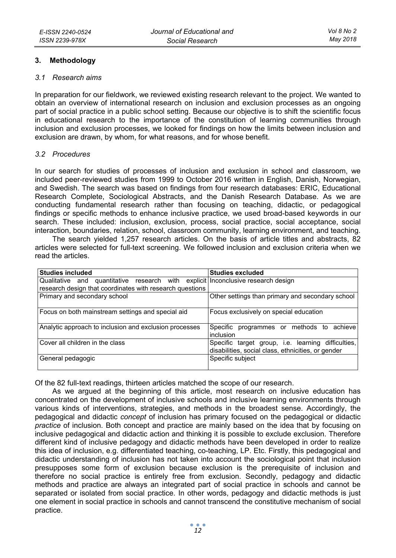### **3. Methodology**

#### *3.1 Research aims*

In preparation for our fieldwork, we reviewed existing research relevant to the project. We wanted to obtain an overview of international research on inclusion and exclusion processes as an ongoing part of social practice in a public school setting. Because our objective is to shift the scientific focus in educational research to the importance of the constitution of learning communities through inclusion and exclusion processes, we looked for findings on how the limits between inclusion and exclusion are drawn, by whom, for what reasons, and for whose benefit.

### *3.2 Procedures*

In our search for studies of processes of inclusion and exclusion in school and classroom, we included peer-reviewed studies from 1999 to October 2016 written in English, Danish, Norwegian, and Swedish. The search was based on findings from four research databases: ERIC, Educational Research Complete, Sociological Abstracts, and the Danish Research Database. As we are conducting fundamental research rather than focusing on teaching, didactic, or pedagogical findings or specific methods to enhance inclusive practice, we used broad-based keywords in our search. These included: inclusion, exclusion, process, social practice, social acceptance, social interaction, boundaries, relation, school, classroom community, learning environment, and teaching.

The search yielded 1,257 research articles. On the basis of article titles and abstracts, 82 articles were selected for full-text screening. We followed inclusion and exclusion criteria when we read the articles.

| <b>Studies included</b>                                                          | <b>Studies excluded</b>                            |
|----------------------------------------------------------------------------------|----------------------------------------------------|
| Qualitative and quantitative research with explicit Inconclusive research design |                                                    |
| research design that coordinates with research questions                         |                                                    |
| Primary and secondary school                                                     | Other settings than primary and secondary school   |
|                                                                                  |                                                    |
| Focus on both mainstream settings and special aid                                | Focus exclusively on special education             |
|                                                                                  |                                                    |
| Analytic approach to inclusion and exclusion processes                           | Specific programmes or methods to achieve          |
|                                                                                  | inclusion                                          |
| Cover all children in the class                                                  | Specific target group, i.e. learning difficulties, |
|                                                                                  | disabilities, social class, ethnicities, or gender |
| General pedagogic                                                                | Specific subject                                   |
|                                                                                  |                                                    |

Of the 82 full-text readings, thirteen articles matched the scope of our research.

As we argued at the beginning of this article, most research on inclusive education has concentrated on the development of inclusive schools and inclusive learning environments through various kinds of interventions, strategies, and methods in the broadest sense. Accordingly, the pedagogical and didactic *concept* of inclusion has primary focused on the pedagogical or didactic *practice* of inclusion. Both concept and practice are mainly based on the idea that by focusing on inclusive pedagogical and didactic action and thinking it is possible to exclude exclusion. Therefore different kind of inclusive pedagogy and didactic methods have been developed in order to realize this idea of inclusion, e.g. differentiated teaching, co-teaching, LP. Etc. Firstly, this pedagogical and didactic understanding of inclusion has not taken into account the sociological point that inclusion presupposes some form of exclusion because exclusion is the prerequisite of inclusion and therefore no social practice is entirely free from exclusion. Secondly, pedagogy and didactic methods and practice are always an integrated part of social practice in schools and cannot be separated or isolated from social practice. In other words, pedagogy and didactic methods is just one element in social practice in schools and cannot transcend the constitutive mechanism of social practice.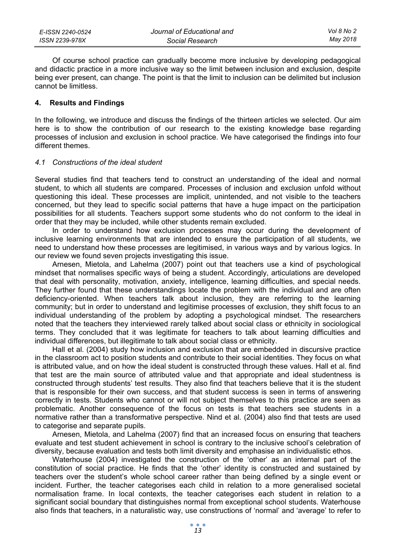| E-ISSN 2240-0524 | Journal of Educational and | Vol 8 No 2 |
|------------------|----------------------------|------------|
| ISSN 2239-978X   | Social Research            | May 2018   |

Of course school practice can gradually become more inclusive by developing pedagogical and didactic practice in a more inclusive way so the limit between inclusion and exclusion, despite being ever present, can change. The point is that the limit to inclusion can be delimited but inclusion cannot be limitless.

#### **4. Results and Findings**

In the following, we introduce and discuss the findings of the thirteen articles we selected. Our aim here is to show the contribution of our research to the existing knowledge base regarding processes of inclusion and exclusion in school practice. We have categorised the findings into four different themes.

#### *4.1 Constructions of the ideal student*

Several studies find that teachers tend to construct an understanding of the ideal and normal student, to which all students are compared. Processes of inclusion and exclusion unfold without questioning this ideal. These processes are implicit, unintended, and not visible to the teachers concerned, but they lead to specific social patterns that have a huge impact on the participation possibilities for all students. Teachers support some students who do not conform to the ideal in order that they may be included, while other students remain excluded.

In order to understand how exclusion processes may occur during the development of inclusive learning environments that are intended to ensure the participation of all students, we need to understand how these processes are legitimised, in various ways and by various logics. In our review we found seven projects investigating this issue.

Arnesen, Mietola, and Lahelma (2007) point out that teachers use a kind of psychological mindset that normalises specific ways of being a student. Accordingly, articulations are developed that deal with personality, motivation, anxiety, intelligence, learning difficulties, and special needs. They further found that these understandings locate the problem with the individual and are often deficiency-oriented. When teachers talk about inclusion, they are referring to the learning community; but in order to understand and legitimise processes of exclusion, they shift focus to an individual understanding of the problem by adopting a psychological mindset. The researchers noted that the teachers they interviewed rarely talked about social class or ethnicity in sociological terms. They concluded that it was legitimate for teachers to talk about learning difficulties and individual differences, but illegitimate to talk about social class or ethnicity.

Hall et al. (2004) study how inclusion and exclusion that are embedded in discursive practice in the classroom act to position students and contribute to their social identities. They focus on what is attributed value, and on how the ideal student is constructed through these values. Hall et al. find that test are the main source of attributed value and that appropriate and ideal studentness is constructed through students' test results. They also find that teachers believe that it is the student that is responsible for their own success, and that student success is seen in terms of answering correctly in tests. Students who cannot or will not subject themselves to this practice are seen as problematic. Another consequence of the focus on tests is that teachers see students in a normative rather than a transformative perspective. Nind et al. (2004) also find that tests are used to categorise and separate pupils.

Arnesen, Mietola, and Lahelma (2007) find that an increased focus on ensuring that teachers evaluate and test student achievement in school is contrary to the inclusive school's celebration of diversity, because evaluation and tests both limit diversity and emphasise an individualistic ethos.

Waterhouse (2004) investigated the construction of the 'other' as an internal part of the constitution of social practice. He finds that the 'other' identity is constructed and sustained by teachers over the student's whole school career rather than being defined by a single event or incident. Further, the teacher categorises each child in relation to a more generalised societal normalisation frame. In local contexts, the teacher categorises each student in relation to a significant social boundary that distinguishes normal from exceptional school students. Waterhouse also finds that teachers, in a naturalistic way, use constructions of 'normal' and 'average' to refer to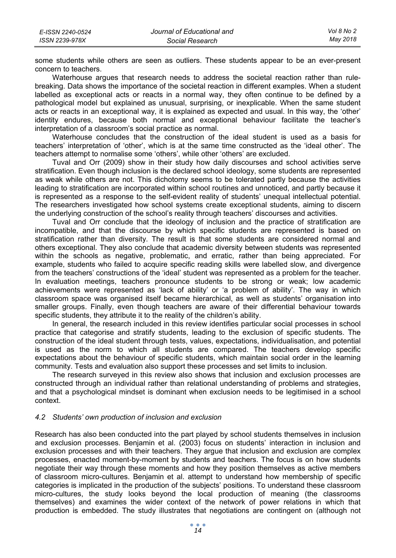| E-ISSN 2240-0524 | Journal of Educational and | Vol 8 No 2 |
|------------------|----------------------------|------------|
| ISSN 2239-978X   | Social Research            | Mav 2018   |

some students while others are seen as outliers. These students appear to be an ever-present concern to teachers.

Waterhouse argues that research needs to address the societal reaction rather than rulebreaking. Data shows the importance of the societal reaction in different examples. When a student labelled as exceptional acts or reacts in a normal way, they often continue to be defined by a pathological model but explained as unusual, surprising, or inexplicable. When the same student acts or reacts in an exceptional way, it is explained as expected and usual. In this way, the 'other' identity endures, because both normal and exceptional behaviour facilitate the teacher's interpretation of a classroom's social practice as normal.

Waterhouse concludes that the construction of the ideal student is used as a basis for teachers' interpretation of 'other', which is at the same time constructed as the 'ideal other'. The teachers attempt to normalise some 'others', while other 'others' are excluded.

Tuval and Orr (2009) show in their study how daily discourses and school activities serve stratification. Even though inclusion is the declared school ideology, some students are represented as weak while others are not. This dichotomy seems to be tolerated partly because the activities leading to stratification are incorporated within school routines and unnoticed, and partly because it is represented as a response to the self-evident reality of students' unequal intellectual potential. The researchers investigated how school systems create exceptional students, aiming to discern the underlying construction of the school's reality through teachers' discourses and activities.

Tuval and Orr conclude that the ideology of inclusion and the practice of stratification are incompatible, and that the discourse by which specific students are represented is based on stratification rather than diversity. The result is that some students are considered normal and others exceptional. They also conclude that academic diversity between students was represented within the schools as negative, problematic, and erratic, rather than being appreciated. For example, students who failed to acquire specific reading skills were labelled slow, and divergence from the teachers' constructions of the 'ideal' student was represented as a problem for the teacher. In evaluation meetings, teachers pronounce students to be strong or weak; low academic achievements were represented as 'lack of ability' or 'a problem of ability'. The way in which classroom space was organised itself became hierarchical, as well as students' organisation into smaller groups. Finally, even though teachers are aware of their differential behaviour towards specific students, they attribute it to the reality of the children's ability.

In general, the research included in this review identifies particular social processes in school practice that categorise and stratify students, leading to the exclusion of specific students. The construction of the ideal student through tests, values, expectations, individualisation, and potential is used as the norm to which all students are compared. The teachers develop specific expectations about the behaviour of specific students, which maintain social order in the learning community. Tests and evaluation also support these processes and set limits to inclusion.

The research surveyed in this review also shows that inclusion and exclusion processes are constructed through an individual rather than relational understanding of problems and strategies, and that a psychological mindset is dominant when exclusion needs to be legitimised in a school context.

#### *4.2 Students' own production of inclusion and exclusion*

Research has also been conducted into the part played by school students themselves in inclusion and exclusion processes. Benjamin et al. (2003) focus on students' interaction in inclusion and exclusion processes and with their teachers. They argue that inclusion and exclusion are complex processes, enacted moment-by-moment by students and teachers. The focus is on how students negotiate their way through these moments and how they position themselves as active members of classroom micro-cultures. Benjamin et al. attempt to understand how membership of specific categories is implicated in the production of the subjects' positions. To understand these classroom micro-cultures, the study looks beyond the local production of meaning (the classrooms themselves) and examines the wider context of the network of power relations in which that production is embedded. The study illustrates that negotiations are contingent on (although not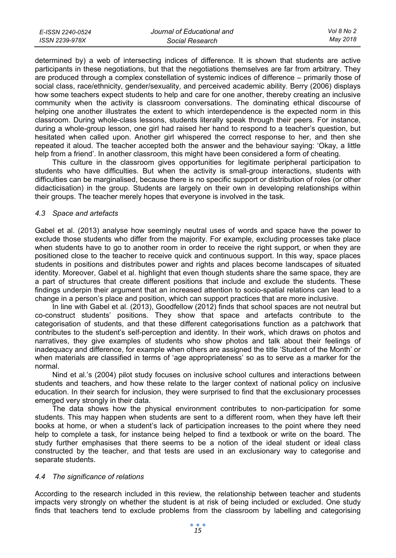| E-ISSN 2240-0524 | Journal of Educational and | Vol 8 No 2 |
|------------------|----------------------------|------------|
| ISSN 2239-978X   | Social Research            | May 2018   |

determined by) a web of intersecting indices of difference. It is shown that students are active participants in these negotiations, but that the negotiations themselves are far from arbitrary. They are produced through a complex constellation of systemic indices of difference – primarily those of social class, race/ethnicity, gender/sexuality, and perceived academic ability. Berry (2006) displays how some teachers expect students to help and care for one another, thereby creating an inclusive community when the activity is classroom conversations. The dominating ethical discourse of helping one another illustrates the extent to which interdependence is the expected norm in this classroom. During whole-class lessons, students literally speak through their peers. For instance, during a whole-group lesson, one girl had raised her hand to respond to a teacher's question, but hesitated when called upon. Another girl whispered the correct response to her, and then she repeated it aloud. The teacher accepted both the answer and the behaviour saying: 'Okay, a little help from a friend'. In another classroom, this might have been considered a form of cheating.

This culture in the classroom gives opportunities for legitimate peripheral participation to students who have difficulties. But when the activity is small-group interactions, students with difficulties can be marginalised, because there is no specific support or distribution of roles (or other didacticisation) in the group. Students are largely on their own in developing relationships within their groups. The teacher merely hopes that everyone is involved in the task.

#### *4.3 Space and artefacts*

Gabel et al. (2013) analyse how seemingly neutral uses of words and space have the power to exclude those students who differ from the majority. For example, excluding processes take place when students have to go to another room in order to receive the right support, or when they are positioned close to the teacher to receive quick and continuous support. In this way, space places students in positions and distributes power and rights and places become landscapes of situated identity. Moreover, Gabel et al. highlight that even though students share the same space, they are a part of structures that create different positions that include and exclude the students. These findings underpin their argument that an increased attention to socio-spatial relations can lead to a change in a person's place and position, which can support practices that are more inclusive.

In line with Gabel et al. (2013), Goodfellow (2012) finds that school spaces are not neutral but co-construct students' positions. They show that space and artefacts contribute to the categorisation of students, and that these different categorisations function as a patchwork that contributes to the student's self-perception and identity. In their work, which draws on photos and narratives, they give examples of students who show photos and talk about their feelings of inadequacy and difference, for example when others are assigned the title 'Student of the Month' or when materials are classified in terms of 'age appropriateness' so as to serve as a marker for the normal.

Nind et al.'s (2004) pilot study focuses on inclusive school cultures and interactions between students and teachers, and how these relate to the larger context of national policy on inclusive education. In their search for inclusion, they were surprised to find that the exclusionary processes emerged very strongly in their data.

The data shows how the physical environment contributes to non-participation for some students. This may happen when students are sent to a different room, when they have left their books at home, or when a student's lack of participation increases to the point where they need help to complete a task, for instance being helped to find a textbook or write on the board. The study further emphasises that there seems to be a notion of the ideal student or ideal class constructed by the teacher, and that tests are used in an exclusionary way to categorise and separate students.

#### *4.4 The significance of relations*

According to the research included in this review, the relationship between teacher and students impacts very strongly on whether the student is at risk of being included or excluded. One study finds that teachers tend to exclude problems from the classroom by labelling and categorising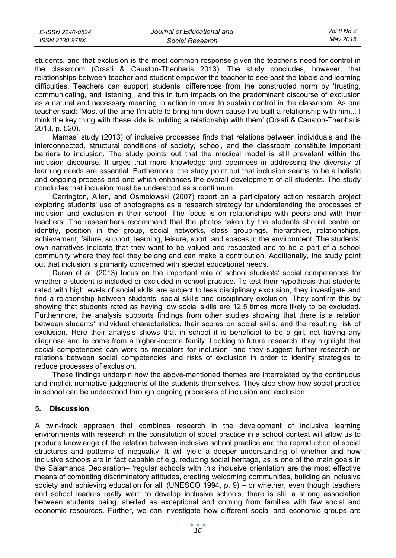| E-ISSN 2240-0524 | Journal of Educational and | Vol 8 No 2 |
|------------------|----------------------------|------------|
| ISSN 2239-978X   | Social Research            | Mav 2018   |

students, and that exclusion is the most common response given the teacher's need for control in the classroom (Orsati & Causton-Theoharis 2013). The study concludes, however, that relationships between teacher and student empower the teacher to see past the labels and learning difficulties. Teachers can support students' differences from the constructed norm by 'trusting, communicating, and listening', and this in turn impacts on the predominant discourse of exclusion as a natural and necessary meaning in action in order to sustain control in the classroom. As one teacher said: 'Most of the time I'm able to bring him down cause I've built a relationship with him... I think the key thing with these kids is building a relationship with them' (Orsati & Causton-Theoharis 2013, p. 520).

Mamas' study (2013) of inclusive processes finds that relations between individuals and the interconnected, structural conditions of society, school, and the classroom constitute important barriers to inclusion. The study points out that the medical model is still prevalent within the inclusion discourse. It urges that more knowledge and openness in addressing the diversity of learning needs are essential. Furthermore, the study point out that inclusion seems to be a holistic and ongoing process and one which enhances the overall development of all students. The study concludes that inclusion must be understood as a continuum.

Carrington, Allen, and Osmolowski (2007) report on a participatory action research project exploring students' use of photographs as a research strategy for understanding the processes of inclusion and exclusion in their school. The focus is on relationships with peers and with their teachers. The researchers recommend that the photos taken by the students should centre on identity, position in the group, social networks, class groupings, hierarchies, relationships, achievement, failure, support, learning, leisure, sport, and spaces in the environment. The students' own narratives indicate that they want to be valued and respected and to be a part of a school community where they feel they belong and can make a contribution. Additionally, the study point out that inclusion is primarily concerned with special educational needs.

Duran et al. (2013) focus on the important role of school students' social competences for whether a student is included or excluded in school practice. To test their hypothesis that students rated with high levels of social skills are subject to less disciplinary exclusion, they investigate and find a relationship between students' social skills and disciplinary exclusion. They confirm this by showing that students rated as having low social skills are 12.5 times more likely to be excluded. Furthermore, the analysis supports findings from other studies showing that there is a relation between students' individual characteristics, their scores on social skills, and the resulting risk of exclusion. Here their analysis shows that in school it is beneficial to be a girl, not having any diagnose and to come from a higher-income family. Looking to future research, they highlight that social competencies can work as mediators for inclusion, and they suggest further research on relations between social competencies and risks of exclusion in order to identify strategies to reduce processes of exclusion.

These findings underpin how the above-mentioned themes are interrelated by the continuous and implicit normative judgements of the students themselves. They also show how social practice in school can be understood through ongoing processes of inclusion and exclusion.

#### **5. Discussion**

A twin-track approach that combines research in the development of inclusive learning environments with research in the constitution of social practice in a school context will allow us to produce knowledge of the relation between inclusive school practice and the reproduction of social structures and patterns of inequality. It will yield a deeper understanding of whether and how inclusive schools are in fact capable of e.g. reducing social heritage, as is one of the main goals in the Salamanca Declaration– 'regular schools with this inclusive orientation are the most effective means of combating discriminatory attitudes, creating welcoming communities, building an inclusive society and achieving education for all' (UNESCO 1994, p. 9) – or whether, even though teachers and school leaders really want to develop inclusive schools, there is still a strong association between students being labelled as exceptional and coming from families with few social and economic resources. Further, we can investigate how different social and economic groups are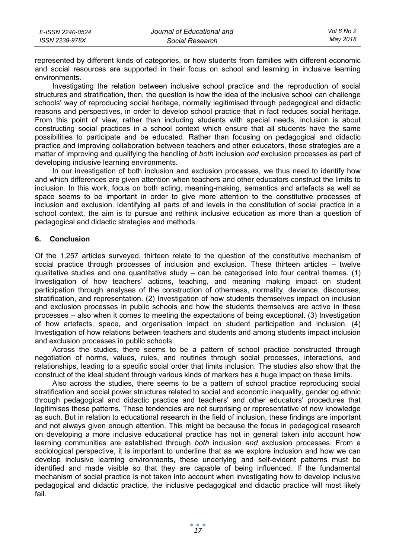| E-ISSN 2240-0524 | Journal of Educational and | Vol 8 No 2 |
|------------------|----------------------------|------------|
| ISSN 2239-978X   | Social Research            | Mav 2018   |

represented by different kinds of categories, or how students from families with different economic and social resources are supported in their focus on school and learning in inclusive learning environments.

Investigating the relation between inclusive school practice and the reproduction of social structures and stratification, then, the question is how the idea of the inclusive school can challenge schools' way of reproducing social heritage, normally legitimised through pedagogical and didactic reasons and perspectives, in order to develop school practice that in fact reduces social heritage. From this point of view, rather than including students with special needs, inclusion is about constructing social practices in a school context which ensure that all students have the same possibilities to participate and be educated. Rather than focusing on pedagogical and didactic practice and improving collaboration between teachers and other educators, these strategies are a matter of improving and qualifying the handling of *both* inclusion *and* exclusion processes as part of developing inclusive learning environments.

In our investigation of both inclusion and exclusion processes, we thus need to identify how and which differences are given attention when teachers and other educators construct the limits to inclusion. In this work, focus on both acting, meaning-making, semantics and artefacts as well as space seems to be important in order to give more attention to the constitutive processes of inclusion and exclusion. Identifying all parts of and levels in the constitution of social practice in a school context, the aim is to pursue and rethink inclusive education as more than a question of pedagogical and didactic strategies and methods.

#### **6. Conclusion**

Of the 1,257 articles surveyed, thirteen relate to the question of the constitutive mechanism of social practice through processes of inclusion and exclusion. These thirteen articles – twelve qualitative studies and one quantitative study – can be categorised into four central themes. (1) Investigation of how teachers' actions, teaching, and meaning making impact on student participation through analyses of the construction of otherness, normality, deviance, discourses, stratification, and representation. (2) Investigation of how students themselves impact on inclusion and exclusion processes in public schools and how the students themselves are active in these processes – also when it comes to meeting the expectations of being exceptional. (3) Investigation of how artefacts, space, and organisation impact on student participation and inclusion. (4) Investigation of how relations between teachers and students and among students impact inclusion and exclusion processes in public schools.

Across the studies, there seems to be a pattern of school practice constructed through negotiation of norms, values, rules, and routines through social processes, interactions, and relationships, leading to a specific social order that limits inclusion. The studies also show that the construct of the ideal student through various kinds of markers has a huge impact on these limits.

Also across the studies, there seems to be a pattern of school practice reproducing social stratification and social power structures related to social and economic inequality, gender og ethnic through pedagogical and didactic practice and teachers' and other educators' procedures that legitimises these patterns. These tendencies are not surprising or representative of new knowledge as such. But in relation to educational research in the field of inclusion, these findings are important and not always given enough attention. This might be because the focus in pedagogical research on developing a more inclusive educational practice has not in general taken into account how learning communities are established through *both* inclusion *and* exclusion processes. From a sociological perspective, it is important to underline that as we explore inclusion and how we can develop inclusive learning environments, these underlying and self-evident patterns must be identified and made visible so that they are capable of being influenced. If the fundamental mechanism of social practice is not taken into account when investigating how to develop inclusive pedagogical and didactic practice, the inclusive pedagogical and didactic practice will most likely fail.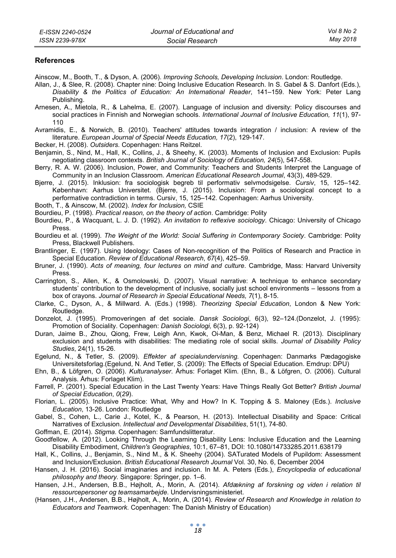#### **References**

Ainscow, M., Booth, T., & Dyson, A. (2006). *Improving Schools, Developing Inclusion*. London: Routledge.

- Allan, J., & Slee, R. (2008). Chapter nine: Doing Inclusive Education Research. In S. Gabel & S. Danfort (Eds.), *Disability & the Politics of Education: An International Reader*, 141–159. New York: Peter Lang Publishing.
- Arnesen, A., Mietola, R., & Lahelma, E. (2007). Language of inclusion and diversity: Policy discourses and social practices in Finnish and Norwegian schools. *International Journal of Inclusive Education, 11*(1), 97- 110
- Avramidis, E., & Norwich, B. (2010). Teachers' attitudes towards integration / inclusion: A review of the literature. *European Journal of Special Needs Education, 17*(2), 129-147.
- Becker, H. (2008). *Outsiders.* Copenhagen: Hans Reitzel.
- Benjamin, S., Nind, M., Hall, K., Collins, J., & Sheehy, K. (2003). Moments of Inclusion and Exclusion: Pupils negotiating classroom contexts. *British Journal of Sociology of Education, 24*(5), 547-558.
- Berry, R. A. W. (2006). Inclusion, Power, and Community: Teachers and Students Interpret the Language of Community in an Inclusion Classroom. *American Educational Research Journal*, 43(3), 489-529.
- Bjerre, J. (2015). Inklusion: fra sociologisk begreb til performativ selvmodsigelse. *Cursiv*, 15, 125–142. København: Aarhus Universitet. (Bjerre, J. (2015). Inclusion: From a sociological concept to a performative contradiction in terms. Cursiv, 15, 125–142. Copenhagen: Aarhus University.
- Booth, T., & Ainscow, M. (2002). *Index for Inclusion,* CSIE

Bourdieu, P. (1998). *Practical reason, on the theory of action*. Cambridge: Polity

- Bourdieu, P., & Wacquant, L. J. D. (1992). *An invitation to reflexive sociology*. Chicago: University of Chicago Press.
- Bourdieu et al. (1999). *The Weight of the World: Social Suffering in Contemporary Society*. Cambridge: Polity Press, Blackwell Publishers.
- Brantlinger, E. (1997). Using Ideology: Cases of Non-recognition of the Politics of Research and Practice in Special Education. *Review of Educational Research*, *67*(4), 425–59.
- Bruner, J. (1990). *Acts of meaning, four lectures on mind and culture*. Cambridge, Mass: Harvard University Press.
- Carrington, S., Allen, K., & Osmolowski, D. (2007). Visual narrative: A technique to enhance secondary students' contribution to the development of inclusive, socially just school environments – lessons from a box of crayons. *Journal of Research in Special Educational Needs, 7*(1), 8-15.
- Clarke, C., Dyson, A., & Millward. A. (Eds.) (1998). *Theorizing Special Education*, London & New York: Routledge.
- Donzelot, J. (1995). Promoveringen af det sociale*. Dansk Sociologi*, 6(3), 92–124.(Donzelot, J. (1995): Promotion of Sociality. Copenhagen: *Danish Sociologi,* 6(3), p. 92-124)
- Duran, Jaime B., Zhou, Qiong, Frew, Leigh Ann, Kwok, Oi-Man, & Benz, Michael R. (2013). Disciplinary exclusion and students with disabilities: The mediating role of social skills. *Journal of Disability Policy Studies*, 24(1), 15-26.
- Egelund, N., & Tetler, S. (2009). *Effekter af specialundervisning.* Copenhagen: Danmarks Pædagogiske Universitetsforlag.(Egelund, N. And Tetler, S. (2009): The Effects of Special Education. Emdrup: DPU)
- Ehn, B., & Löfgren, O. (2006). *Kulturanalyser*. Århus: Forlaget Klim. (Ehn, B., & Löfgren, O. (2006). Cultural Analysis. Århus: Forlaget Klim).
- Farrell, P. (2001). Special Education in the Last Twenty Years: Have Things Really Got Better? *British Journal of Special Education*, *0*(*29*).
- Florian, L. (2005). Inclusive Practice: What, Why and How? In K. Topping & S. Maloney (Eds.). *Inclusive Education*, 13-26. London: Routledge
- Gabel, S., Cohen, L., Carie J., Kotel, K., & Pearson, H. (2013). Intellectual Disability and Space: Critical Narratives of Exclusion. *Intellectual and Developmental Disabilities*, 51(1), 74-80.
- Goffman, E. (2014). *Stigma.* Copenhagen: Samfundslitteratur.
- Goodfellow, A. (2012). Looking Through the Learning Disability Lens: Inclusive Education and the Learning Disability Embodiment, *Children's Geographies*, 10:1, 67–81, DOI: 10.1080/14733285.2011.638179
- Hall, K., Collins, J., Benjamin, S., Nind M., & K. Sheehy (2004). SATurated Models of Pupildom: Assessment and Inclusion/Exclusion. *British Educational Research Journal* Vol. 30, No. 6, December 2004
- Hansen, J. H. (2016). Social imaginaries and inclusion. In M. A. Peters (Eds.), *Encyclopedia of educational philosophy and theory.* Singapore: Springer, pp. 1–6.
- Hansen, J.H., Andersen, B.B., Højholt, A., Morin, A. (2014). *Afdækning af forskning og viden i relation til ressourcepersoner og teamsamarbejde*. Undervisningsministeriet.
- (Hansen, J.H., Andersen, B.B., Højholt, A., Morin, A. (2014). *Review of Research and Knowledge in relation to Educators and Teamwork.* Copenhagen: The Danish Ministry of Education)